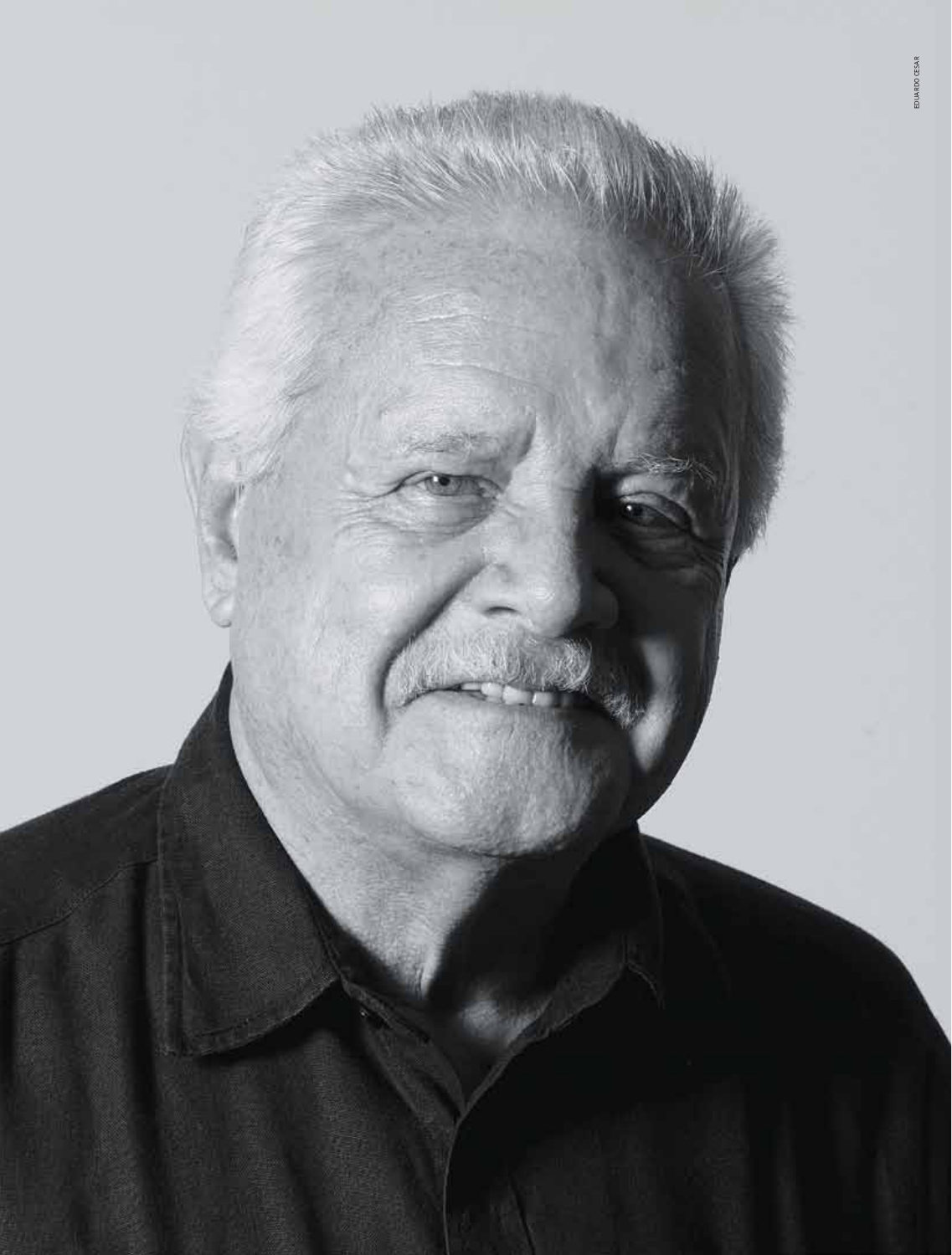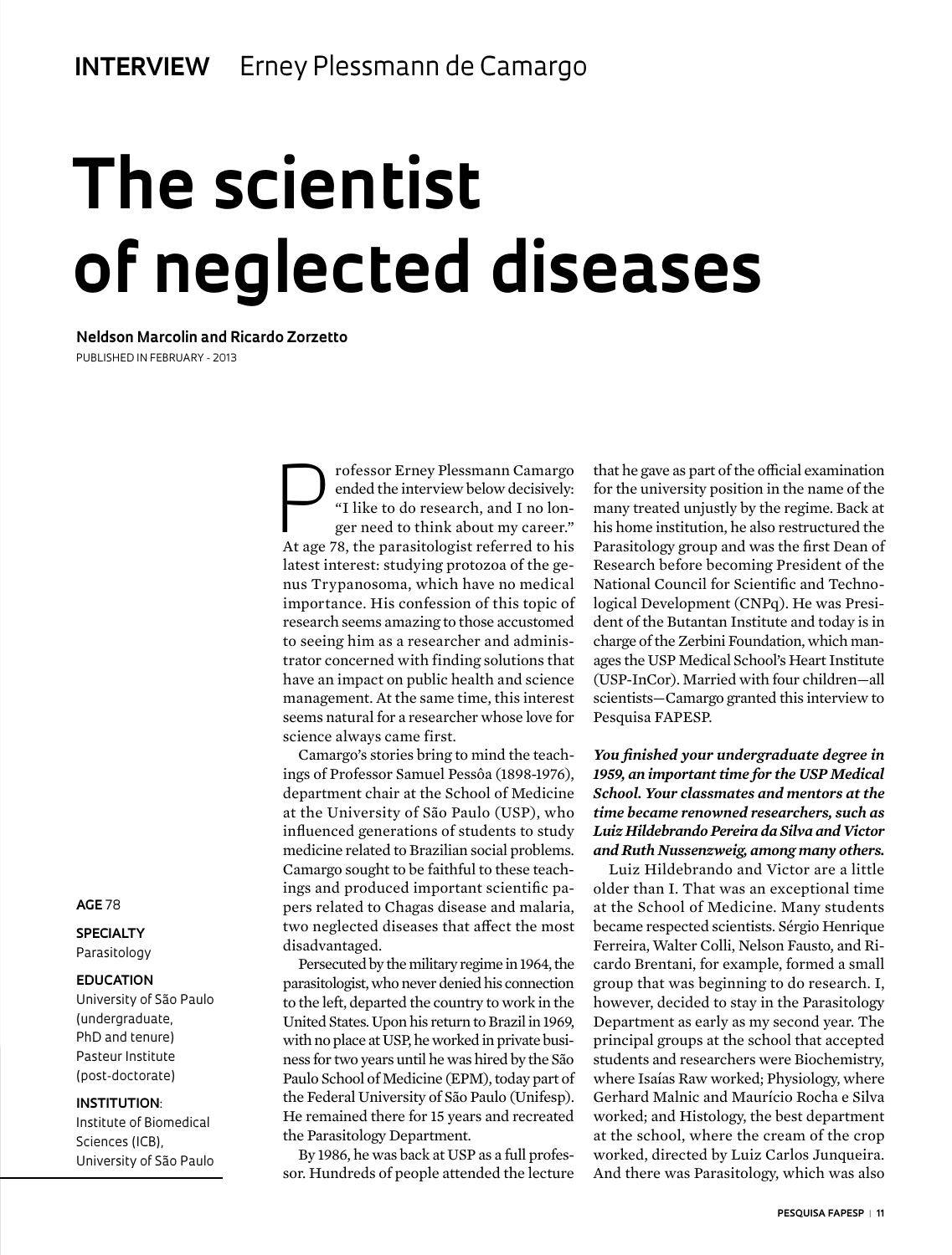# **The scientist of neglected diseases**

**Neldson Marcolin and Ricardo Zorzetto**

Published in February - 2013

The professor Erney Plessmann Camargo<br>
ended the interview below decisively:<br>
"I like to do research, and I no lon-<br>
ger need to think about my career."<br>
At 200 <sup>79</sup>, the parasitologist referred to bis ended the interview below decisively: "I like to do research, and I no longer need to think about my career." At age 78, the parasitologist referred to his latest interest: studying protozoa of the genus Trypanosoma, which have no medical importance. His confession of this topic of research seems amazing to those accustomed to seeing him as a researcher and administrator concerned with finding solutions that have an impact on public health and science management. At the same time, this interest seems natural for a researcher whose love for science always came first.

Camargo's stories bring to mind the teachings of Professor Samuel Pessôa (1898-1976), department chair at the School of Medicine at the University of São Paulo (USP), who influenced generations of students to study medicine related to Brazilian social problems. Camargo sought to be faithful to these teachings and produced important scientific papers related to Chagas disease and malaria, two neglected diseases that affect the most disadvantaged.

Persecuted by the military regime in 1964, the parasitologist, who never denied his connection to the left, departed the country to work in the United States. Upon his return to Brazil in 1969, with no place at USP, he worked in private business for two years until he was hired by the São Paulo School of Medicine (EPM), today part of the Federal University of São Paulo (Unifesp). He remained there for 15 years and recreated the Parasitology Department.

By 1986, he was back at USP as a full professor. Hundreds of people attended the lecture that he gave as part of the official examination for the university position in the name of the many treated unjustly by the regime. Back at his home institution, he also restructured the Parasitology group and was the first Dean of Research before becoming President of the National Council for Scientific and Technological Development (CNPq). He was President of the Butantan Institute and today is in charge of the Zerbini Foundation, which manages the USP Medical School's Heart Institute (USP-InCor). Married with four children—all scientists—Camargo granted this interview to Pesquisa FAPESP.

# *You finished your undergraduate degree in 1959, an important time for the USP Medical School. Your classmates and mentors at the time became renowned researchers, such as Luiz Hildebrando Pereira da Silva and Victor and Ruth Nussenzweig, among many others.*

Luiz Hildebrando and Victor are a little older than I. That was an exceptional time at the School of Medicine. Many students became respected scientists. Sérgio Henrique Ferreira, Walter Colli, Nelson Fausto, and Ricardo Brentani, for example, formed a small group that was beginning to do research. I, however, decided to stay in the Parasitology Department as early as my second year. The principal groups at the school that accepted students and researchers were Biochemistry, where Isaías Raw worked; Physiology, where Gerhard Malnic and Maurício Rocha e Silva worked; and Histology, the best department at the school, where the cream of the crop worked, directed by Luiz Carlos Junqueira. And there was Parasitology, which was also

#### **AGE** 78

**SPECIALTY** Parasitology

#### **EDUCATION**

University of São Paulo (undergraduate, PhD and tenure) Pasteur Institute (post-doctorate)

#### **INSTITUTION**:

Institute of Biomedical Sciences (ICB), University of São Paulo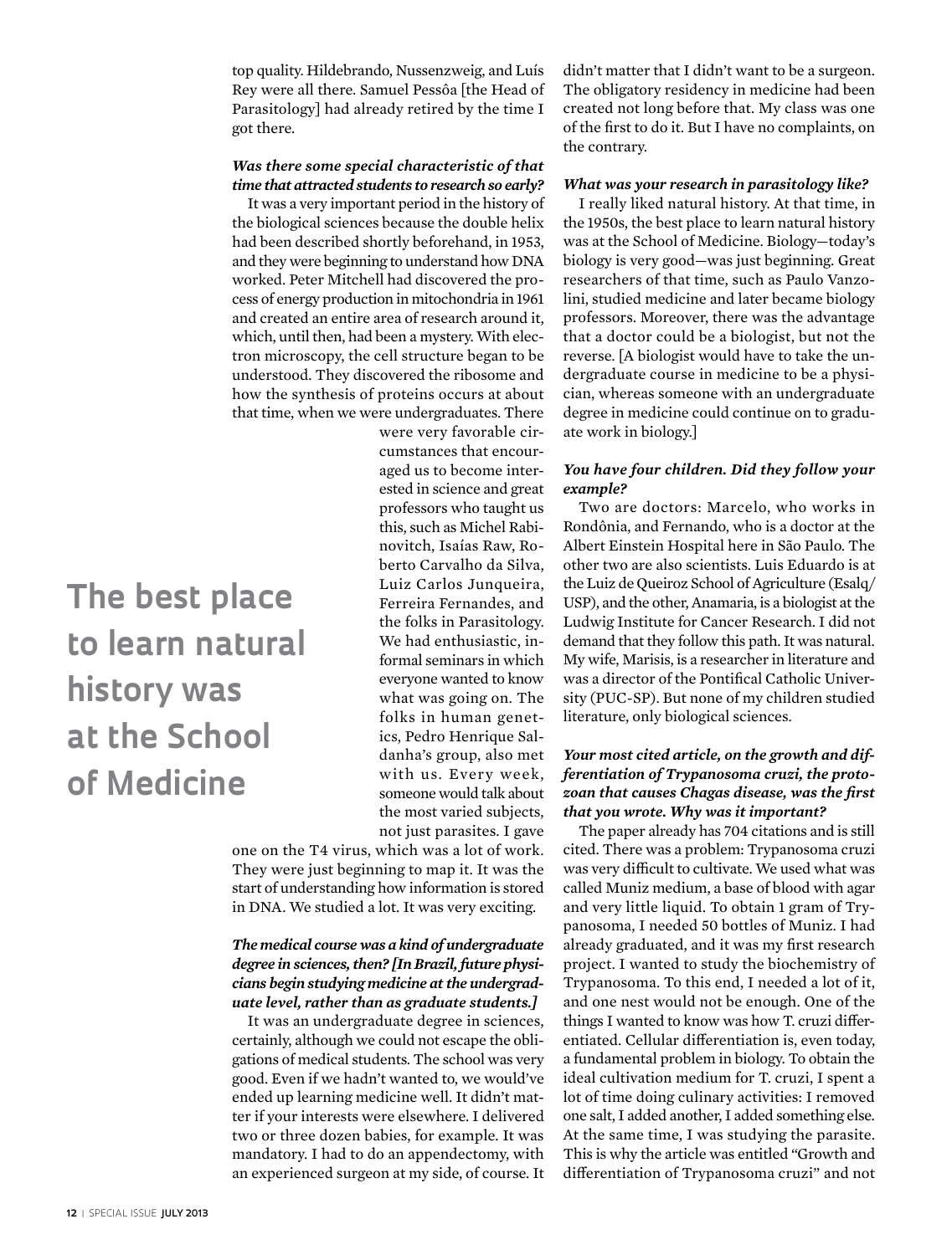top quality. Hildebrando, Nussenzweig, and Luís Rey were all there. Samuel Pessôa [the Head of Parasitology] had already retired by the time I got there.

# *Was there some special characteristic of that time that attracted students to research so early?*

It was a very important period in the history of the biological sciences because the double helix had been described shortly beforehand, in 1953, and they were beginning to understand how DNA worked. Peter Mitchell had discovered the process of energy production in mitochondria in 1961 and created an entire area of research around it, which, until then, had been a mystery. With electron microscopy, the cell structure began to be understood. They discovered the ribosome and how the synthesis of proteins occurs at about that time, when we were undergraduates. There

> cumstances that encouraged us to become interested in science and great professors who taught us this, such as Michel Rabinovitch, Isaías Raw, Roberto Carvalho da Silva, Luiz Carlos Junqueira, Ferreira Fernandes, and the folks in Parasitology. We had enthusiastic, informal seminars in which everyone wanted to know what was going on. The folks in human genetics, Pedro Henrique Saldanha's group, also met with us. Every week, someone would talk about the most varied subjects, not just parasites. I gave

were very favorable cir-

**The best place to learn natural history was at the School of Medicine**

> one on the T4 virus, which was a lot of work. They were just beginning to map it. It was the start of understanding how information is stored in DNA. We studied a lot. It was very exciting.

# *The medical course was a kind of undergraduate degree in sciences, then? [In Brazil, future physicians begin studying medicine at the undergraduate level, rather than as graduate students.]*

It was an undergraduate degree in sciences, certainly, although we could not escape the obligations of medical students. The school was very good. Even if we hadn't wanted to, we would've ended up learning medicine well. It didn't matter if your interests were elsewhere. I delivered two or three dozen babies, for example. It was mandatory. I had to do an appendectomy, with an experienced surgeon at my side, of course. It didn't matter that I didn't want to be a surgeon. The obligatory residency in medicine had been created not long before that. My class was one of the first to do it. But I have no complaints, on the contrary.

### *What was your research in parasitology like?*

I really liked natural history. At that time, in the 1950s, the best place to learn natural history was at the School of Medicine. Biology—today's biology is very good—was just beginning. Great researchers of that time, such as Paulo Vanzolini, studied medicine and later became biology professors. Moreover, there was the advantage that a doctor could be a biologist, but not the reverse. [A biologist would have to take the undergraduate course in medicine to be a physician, whereas someone with an undergraduate degree in medicine could continue on to graduate work in biology.]

# *You have four children. Did they follow your example?*

Two are doctors: Marcelo, who works in Rondônia, and Fernando, who is a doctor at the Albert Einstein Hospital here in São Paulo. The other two are also scientists. Luis Eduardo is at the Luiz de Queiroz School of Agriculture (Esalq/ USP), and the other, Anamaria, is a biologist at the Ludwig Institute for Cancer Research. I did not demand that they follow this path. It was natural. My wife, Marisis, is a researcher in literature and was a director of the Pontifical Catholic University (PUC-SP). But none of my children studied literature, only biological sciences.

# *Your most cited article, on the growth and differentiation of Trypanosoma cruzi, the protozoan that causes Chagas disease, was the first that you wrote. Why was it important?*

The paper already has 704 citations and is still cited. There was a problem: Trypanosoma cruzi was very difficult to cultivate. We used what was called Muniz medium, a base of blood with agar and very little liquid. To obtain 1 gram of Trypanosoma, I needed 50 bottles of Muniz. I had already graduated, and it was my first research project. I wanted to study the biochemistry of Trypanosoma. To this end, I needed a lot of it, and one nest would not be enough. One of the things I wanted to know was how T. cruzi differentiated. Cellular differentiation is, even today, a fundamental problem in biology. To obtain the ideal cultivation medium for T. cruzi, I spent a lot of time doing culinary activities: I removed one salt, I added another, I added something else. At the same time, I was studying the parasite. This is why the article was entitled "Growth and differentiation of Trypanosoma cruzi" and not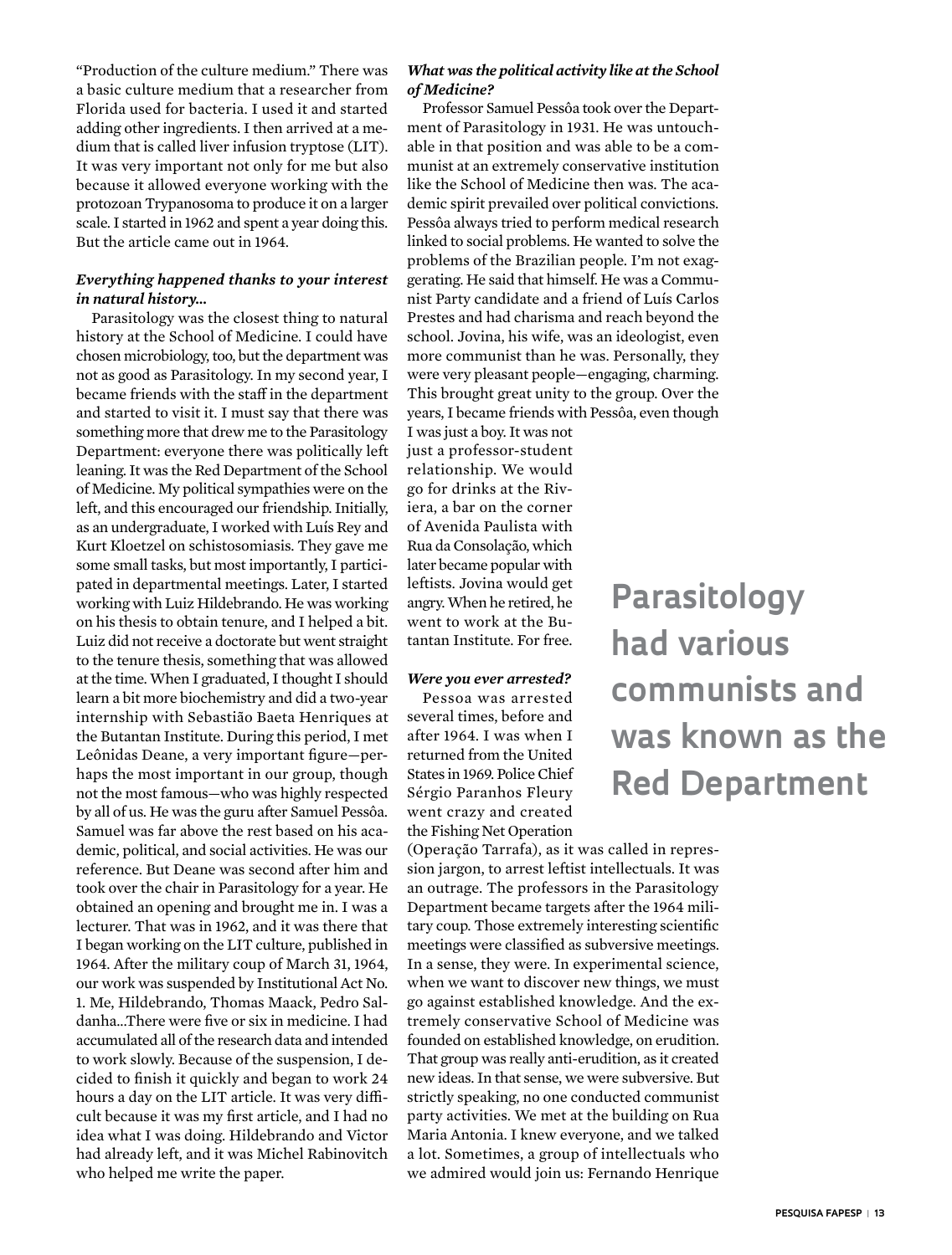"Production of the culture medium." There was a basic culture medium that a researcher from Florida used for bacteria. I used it and started adding other ingredients. I then arrived at a medium that is called liver infusion tryptose (LIT). It was very important not only for me but also because it allowed everyone working with the protozoan Trypanosoma to produce it on a larger scale. I started in 1962 and spent a year doing this. But the article came out in 1964.

# *Everything happened thanks to your interest in natural history...*

Parasitology was the closest thing to natural history at the School of Medicine. I could have chosen microbiology, too, but the department was not as good as Parasitology. In my second year, I became friends with the staff in the department and started to visit it. I must say that there was something more that drew me to the Parasitology Department: everyone there was politically left leaning. It was the Red Department of the School of Medicine. My political sympathies were on the left, and this encouraged our friendship. Initially, as an undergraduate, I worked with Luís Rey and Kurt Kloetzel on schistosomiasis. They gave me some small tasks, but most importantly, I participated in departmental meetings. Later, I started working with Luiz Hildebrando. He was working on his thesis to obtain tenure, and I helped a bit. Luiz did not receive a doctorate but went straight to the tenure thesis, something that was allowed at the time. When I graduated, I thought I should learn a bit more biochemistry and did a two-year internship with Sebastião Baeta Henriques at the Butantan Institute. During this period, I met Leônidas Deane, a very important figure—perhaps the most important in our group, though not the most famous—who was highly respected by all of us. He was the guru after Samuel Pessôa. Samuel was far above the rest based on his academic, political, and social activities. He was our reference. But Deane was second after him and took over the chair in Parasitology for a year. He obtained an opening and brought me in. I was a lecturer. That was in 1962, and it was there that I began working on the LIT culture, published in 1964. After the military coup of March 31, 1964, our work was suspended by Institutional Act No. 1. Me, Hildebrando, Thomas Maack, Pedro Saldanha...There were five or six in medicine. I had accumulated all of the research data and intended to work slowly. Because of the suspension, I decided to finish it quickly and began to work 24 hours a day on the LIT article. It was very difficult because it was my first article, and I had no idea what I was doing. Hildebrando and Victor had already left, and it was Michel Rabinovitch who helped me write the paper.

# *What was the political activity like at the School of Medicine?*

Professor Samuel Pessôa took over the Department of Parasitology in 1931. He was untouchable in that position and was able to be a communist at an extremely conservative institution like the School of Medicine then was. The academic spirit prevailed over political convictions. Pessôa always tried to perform medical research linked to social problems. He wanted to solve the problems of the Brazilian people. I'm not exaggerating. He said that himself. He was a Communist Party candidate and a friend of Luís Carlos Prestes and had charisma and reach beyond the school. Jovina, his wife, was an ideologist, even more communist than he was. Personally, they were very pleasant people—engaging, charming. This brought great unity to the group. Over the years, I became friends with Pessôa, even though

I was just a boy. It was not just a professor-student relationship. We would go for drinks at the Riviera, a bar on the corner of Avenida Paulista with Rua da Consolação, which later became popular with leftists. Jovina would get angry. When he retired, he went to work at the Butantan Institute. For free.

# *Were you ever arrested?*

Pessoa was arrested several times, before and after 1964. I was when I returned from the United States in 1969. Police Chief Sérgio Paranhos Fleury went crazy and created the Fishing Net Operation

(Operação Tarrafa), as it was called in repression jargon, to arrest leftist intellectuals. It was an outrage. The professors in the Parasitology Department became targets after the 1964 military coup. Those extremely interesting scientific meetings were classified as subversive meetings. In a sense, they were. In experimental science, when we want to discover new things, we must go against established knowledge. And the extremely conservative School of Medicine was founded on established knowledge, on erudition. That group was really anti-erudition, as it created new ideas. In that sense, we were subversive. But strictly speaking, no one conducted communist party activities. We met at the building on Rua Maria Antonia. I knew everyone, and we talked a lot. Sometimes, a group of intellectuals who we admired would join us: Fernando Henrique

# **Parasitology had various communists and was known as the Red Department**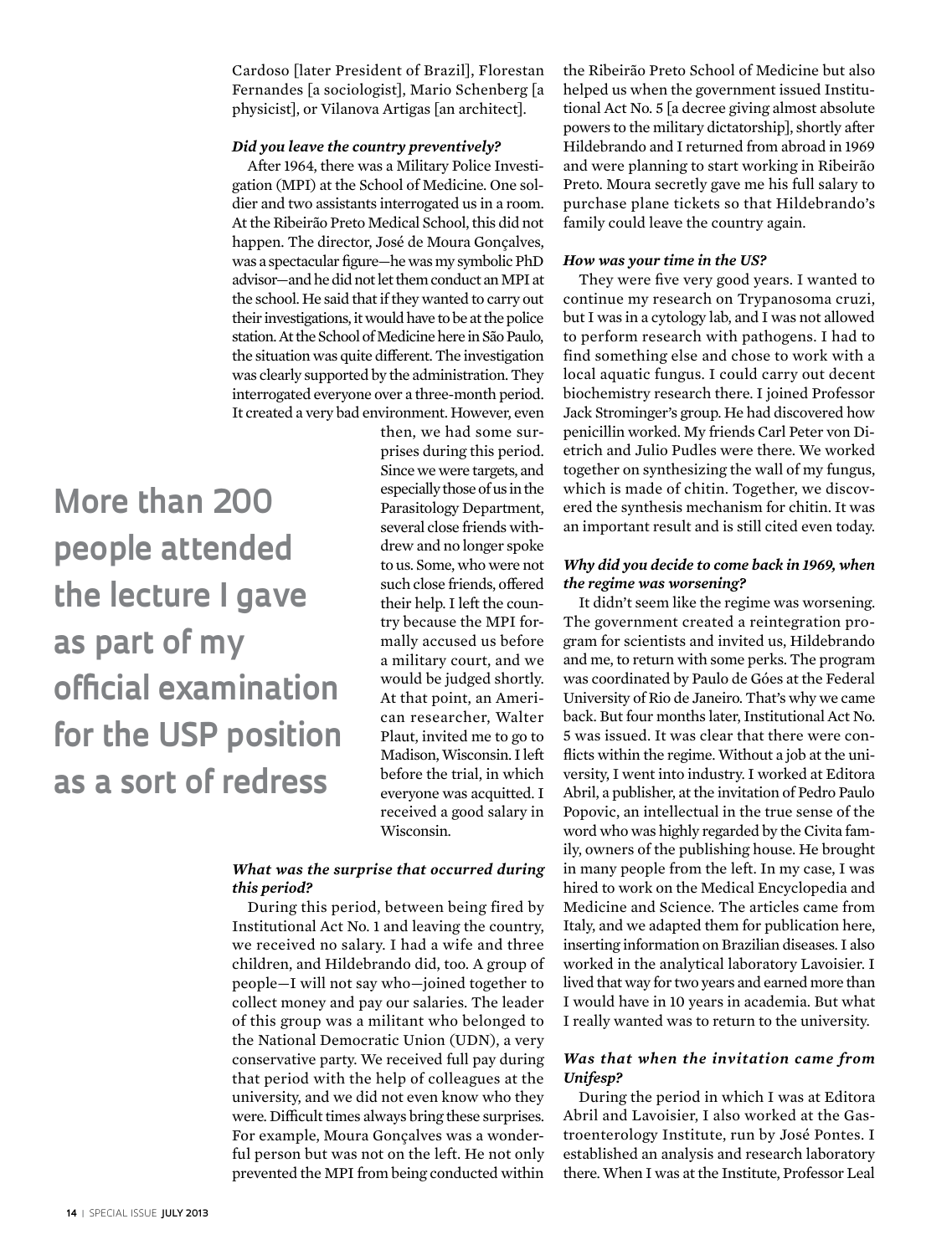Cardoso [later President of Brazil], Florestan Fernandes [a sociologist], Mario Schenberg [a physicist], or Vilanova Artigas [an architect].

#### *Did you leave the country preventively?*

After 1964, there was a Military Police Investigation (MPI) at the School of Medicine. One soldier and two assistants interrogated us in a room. At the Ribeirão Preto Medical School, this did not happen. The director, José de Moura Gonçalves, was a spectacular figure—he was my symbolic PhD advisor—and he did not let them conduct an MPI at the school. He said that if they wanted to carry out their investigations, it would have to be at the police station. At the School of Medicine here in São Paulo, the situation was quite different. The investigation was clearly supported by the administration. They interrogated everyone over a three-month period. It created a very bad environment. However, even

**More than 200 people attended the lecture I gave as part of my official examination for the USP position as a sort of redress**

then, we had some surprises during this period. Since we were targets, and especially those of us in the Parasitology Department, several close friends withdrew and no longer spoke to us. Some, who were not such close friends, offered their help. I left the country because the MPI formally accused us before a military court, and we would be judged shortly. At that point, an American researcher, Walter Plaut, invited me to go to Madison, Wisconsin. I left before the trial, in which everyone was acquitted. I received a good salary in Wisconsin.

### *What was the surprise that occurred during this period?*

During this period, between being fired by Institutional Act No. 1 and leaving the country, we received no salary. I had a wife and three children, and Hildebrando did, too. A group of people—I will not say who—joined together to collect money and pay our salaries. The leader of this group was a militant who belonged to the National Democratic Union (UDN), a very conservative party. We received full pay during that period with the help of colleagues at the university, and we did not even know who they were. Difficult times always bring these surprises. For example, Moura Gonçalves was a wonderful person but was not on the left. He not only prevented the MPI from being conducted within the Ribeirão Preto School of Medicine but also helped us when the government issued Institutional Act No. 5 [a decree giving almost absolute powers to the military dictatorship], shortly after Hildebrando and I returned from abroad in 1969 and were planning to start working in Ribeirão Preto. Moura secretly gave me his full salary to purchase plane tickets so that Hildebrando's family could leave the country again.

#### *How was your time in the US?*

They were five very good years. I wanted to continue my research on Trypanosoma cruzi, but I was in a cytology lab, and I was not allowed to perform research with pathogens. I had to find something else and chose to work with a local aquatic fungus. I could carry out decent biochemistry research there. I joined Professor Jack Strominger's group. He had discovered how penicillin worked. My friends Carl Peter von Dietrich and Julio Pudles were there. We worked together on synthesizing the wall of my fungus, which is made of chitin. Together, we discovered the synthesis mechanism for chitin. It was an important result and is still cited even today.

# *Why did you decide to come back in 1969, when the regime was worsening?*

It didn't seem like the regime was worsening. The government created a reintegration program for scientists and invited us, Hildebrando and me, to return with some perks. The program was coordinated by Paulo de Góes at the Federal University of Rio de Janeiro. That's why we came back. But four months later, Institutional Act No. 5 was issued. It was clear that there were conflicts within the regime. Without a job at the university, I went into industry. I worked at Editora Abril, a publisher, at the invitation of Pedro Paulo Popovic, an intellectual in the true sense of the word who was highly regarded by the Civita family, owners of the publishing house. He brought in many people from the left. In my case, I was hired to work on the Medical Encyclopedia and Medicine and Science. The articles came from Italy, and we adapted them for publication here, inserting information on Brazilian diseases. I also worked in the analytical laboratory Lavoisier. I lived that way for two years and earned more than I would have in 10 years in academia. But what I really wanted was to return to the university.

# *Was that when the invitation came from Unifesp?*

During the period in which I was at Editora Abril and Lavoisier, I also worked at the Gastroenterology Institute, run by José Pontes. I established an analysis and research laboratory there. When I was at the Institute, Professor Leal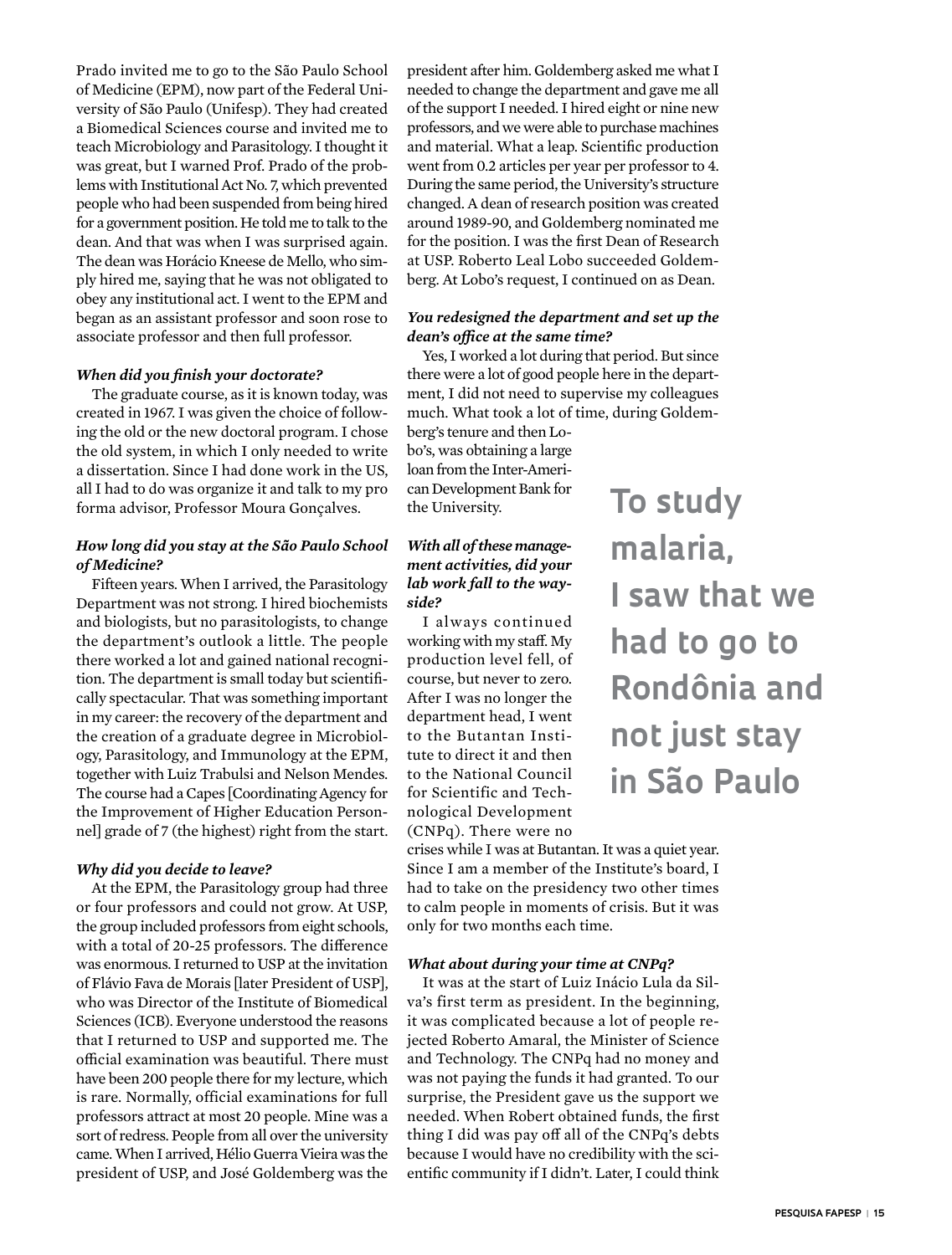Prado invited me to go to the São Paulo School of Medicine (EPM), now part of the Federal University of São Paulo (Unifesp). They had created a Biomedical Sciences course and invited me to teach Microbiology and Parasitology. I thought it was great, but I warned Prof. Prado of the problems with Institutional Act No. 7, which prevented people who had been suspended from being hired for a government position. He told me to talk to the dean. And that was when I was surprised again. The dean was Horácio Kneese de Mello, who simply hired me, saying that he was not obligated to obey any institutional act. I went to the EPM and began as an assistant professor and soon rose to associate professor and then full professor.

#### *When did you finish your doctorate?*

The graduate course, as it is known today, was created in 1967. I was given the choice of following the old or the new doctoral program. I chose the old system, in which I only needed to write a dissertation. Since I had done work in the US, all I had to do was organize it and talk to my pro forma advisor, Professor Moura Gonçalves.

# *How long did you stay at the São Paulo School of Medicine?*

Fifteen years. When I arrived, the Parasitology Department was not strong. I hired biochemists and biologists, but no parasitologists, to change the department's outlook a little. The people there worked a lot and gained national recognition. The department is small today but scientifically spectacular. That was something important in my career: the recovery of the department and the creation of a graduate degree in Microbiology, Parasitology, and Immunology at the EPM, together with Luiz Trabulsi and Nelson Mendes. The course had a Capes [Coordinating Agency for the Improvement of Higher Education Personnel] grade of 7 (the highest) right from the start.

#### *Why did you decide to leave?*

At the EPM, the Parasitology group had three or four professors and could not grow. At USP, the group included professors from eight schools, with a total of 20-25 professors. The difference was enormous. I returned to USP at the invitation of Flávio Fava de Morais [later President of USP], who was Director of the Institute of Biomedical Sciences (ICB). Everyone understood the reasons that I returned to USP and supported me. The official examination was beautiful. There must have been 200 people there for my lecture, which is rare. Normally, official examinations for full professors attract at most 20 people. Mine was a sort of redress. People from all over the university came. When I arrived, Hélio Guerra Vieira was the president of USP, and José Goldemberg was the

president after him. Goldemberg asked me what I needed to change the department and gave me all of the support I needed. I hired eight or nine new professors, and we were able to purchase machines and material. What a leap. Scientific production went from 0.2 articles per year per professor to 4. During the same period, the University's structure changed. A dean of research position was created around 1989-90, and Goldemberg nominated me for the position. I was the first Dean of Research at USP. Roberto Leal Lobo succeeded Goldemberg. At Lobo's request, I continued on as Dean.

# *You redesigned the department and set up the dean's office at the same time?*

Yes, I worked a lot during that period. But since there were a lot of good people here in the department, I did not need to supervise my colleagues much. What took a lot of time, during Goldem-

berg's tenure and then Lobo's, was obtaining a large loan from the Inter-American Development Bank for the University.

# *With all of these management activities, did your lab work fall to the wayside?*

I always continued working with my staff. My production level fell, of course, but never to zero. After I was no longer the department head, I went to the Butantan Institute to direct it and then to the National Council for Scientific and Technological Development (CNPq). There were no **To study malaria, I saw that we had to go to Rondônia and not just stay in São Paulo**

crises while I was at Butantan. It was a quiet year. Since I am a member of the Institute's board, I had to take on the presidency two other times to calm people in moments of crisis. But it was only for two months each time.

#### *What about during your time at CNPq?*

It was at the start of Luiz Inácio Lula da Silva's first term as president. In the beginning, it was complicated because a lot of people rejected Roberto Amaral, the Minister of Science and Technology. The CNPq had no money and was not paying the funds it had granted. To our surprise, the President gave us the support we needed. When Robert obtained funds, the first thing I did was pay off all of the CNPq's debts because I would have no credibility with the scientific community if I didn't. Later, I could think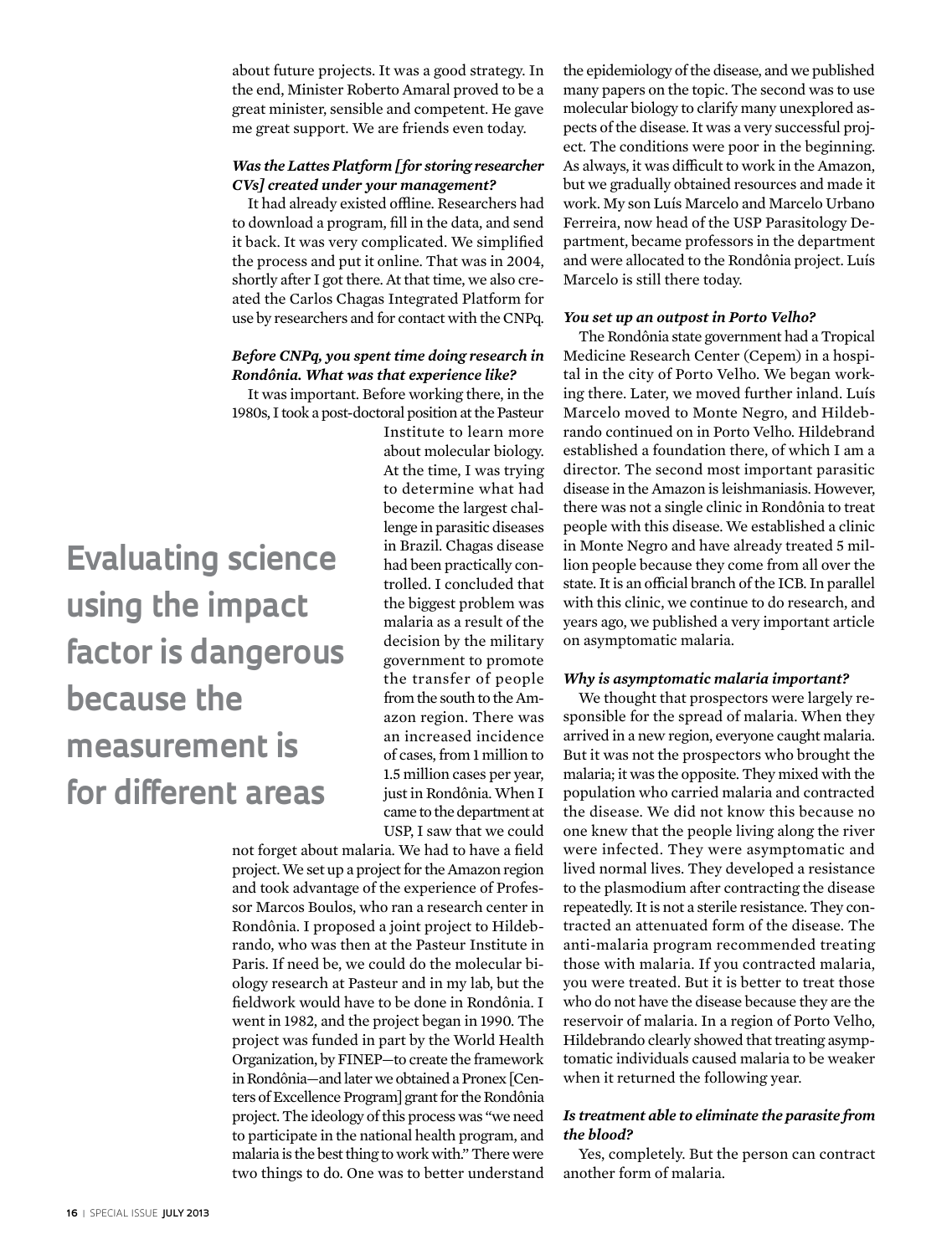about future projects. It was a good strategy. In the end, Minister Roberto Amaral proved to be a great minister, sensible and competent. He gave me great support. We are friends even today.

# *Was the Lattes Platform [for storing researcher CVs] created under your management?*

It had already existed offline. Researchers had to download a program, fill in the data, and send it back. It was very complicated. We simplified the process and put it online. That was in 2004, shortly after I got there. At that time, we also created the Carlos Chagas Integrated Platform for use by researchers and for contact with the CNPq.

# *Before CNPq, you spent time doing research in Rondônia. What was that experience like?*

It was important. Before working there, in the 1980s, I took a post-doctoral position at the Pasteur

# **Evaluating science using the impact factor is dangerous because the measurement is for different areas**

Institute to learn more about molecular biology. At the time, I was trying to determine what had become the largest challenge in parasitic diseases in Brazil. Chagas disease had been practically controlled. I concluded that the biggest problem was malaria as a result of the decision by the military government to promote the transfer of people from the south to the Amazon region. There was an increased incidence of cases, from 1 million to 1.5 million cases per year, just in Rondônia. When I came to the department at USP, I saw that we could

not forget about malaria. We had to have a field project. We set up a project for the Amazon region and took advantage of the experience of Professor Marcos Boulos, who ran a research center in Rondônia. I proposed a joint project to Hildebrando, who was then at the Pasteur Institute in Paris. If need be, we could do the molecular biology research at Pasteur and in my lab, but the fieldwork would have to be done in Rondônia. I went in 1982, and the project began in 1990. The project was funded in part by the World Health Organization, by FINEP—to create the framework in Rondônia—and later we obtained a Pronex [Centers of Excellence Program] grant for the Rondônia project. The ideology of this process was "we need to participate in the national health program, and malaria is the best thing to work with." There were two things to do. One was to better understand the epidemiology of the disease, and we published many papers on the topic. The second was to use molecular biology to clarify many unexplored aspects of the disease. It was a very successful project. The conditions were poor in the beginning. As always, it was difficult to work in the Amazon, but we gradually obtained resources and made it work. My son Luís Marcelo and Marcelo Urbano Ferreira, now head of the USP Parasitology Department, became professors in the department and were allocated to the Rondônia project. Luís Marcelo is still there today.

#### *You set up an outpost in Porto Velho?*

The Rondônia state government had a Tropical Medicine Research Center (Cepem) in a hospital in the city of Porto Velho. We began working there. Later, we moved further inland. Luís Marcelo moved to Monte Negro, and Hildebrando continued on in Porto Velho. Hildebrand established a foundation there, of which I am a director. The second most important parasitic disease in the Amazon is leishmaniasis. However, there was not a single clinic in Rondônia to treat people with this disease. We established a clinic in Monte Negro and have already treated 5 million people because they come from all over the state. It is an official branch of the ICB. In parallel with this clinic, we continue to do research, and years ago, we published a very important article on asymptomatic malaria.

#### *Why is asymptomatic malaria important?*

We thought that prospectors were largely responsible for the spread of malaria. When they arrived in a new region, everyone caught malaria. But it was not the prospectors who brought the malaria; it was the opposite. They mixed with the population who carried malaria and contracted the disease. We did not know this because no one knew that the people living along the river were infected. They were asymptomatic and lived normal lives. They developed a resistance to the plasmodium after contracting the disease repeatedly. It is not a sterile resistance. They contracted an attenuated form of the disease. The anti-malaria program recommended treating those with malaria. If you contracted malaria, you were treated. But it is better to treat those who do not have the disease because they are the reservoir of malaria. In a region of Porto Velho, Hildebrando clearly showed that treating asymptomatic individuals caused malaria to be weaker when it returned the following year.

# *Is treatment able to eliminate the parasite from the blood?*

Yes, completely. But the person can contract another form of malaria.